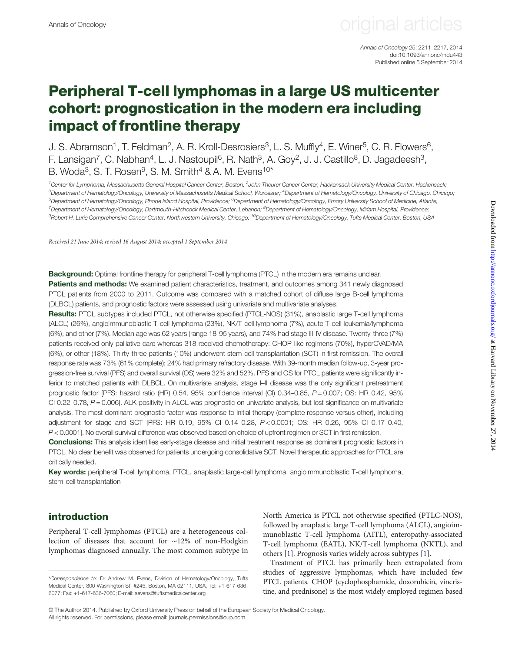Annals of Oncology 25: 2211–2217, 2014 doi:10.1093/annonc/mdu443 Published online 5 September 2014

# Peripheral T-cell lymphomas in a large US multicenter cohort: prognostication in the modern era including impact of frontline therapy

J. S. Abramson<sup>1</sup>, T. Feldman<sup>2</sup>, A. R. Kroll-Desrosiers<sup>3</sup>, L. S. Muffly<sup>4</sup>, E. Winer<sup>5</sup>, C. R. Flowers<sup>6</sup>, F. Lansigan<sup>7</sup>, C. Nabhan<sup>4</sup>, L. J. Nastoupil<sup>6</sup>, R. Nath<sup>3</sup>, A. Goy<sup>2</sup>, J. J. Castillo<sup>8</sup>, D. Jagadeesh<sup>3</sup>, B. Woda<sup>3</sup>, S. T. Rosen<sup>9</sup>, S. M. Smith<sup>4</sup> & A. M. Evens<sup>10\*</sup>

<sup>1</sup>Center for Lymphoma, Massachusetts General Hospital Cancer Center, Boston; <sup>2</sup>John Theurer Cancer Center, Hackensack; University Medical Center, Hackensack; <sup>3</sup>Department of Hematology/Oncology, University of Massachusetts Medical School, Worcester; <sup>4</sup>Department of Hematology/Oncology, University of Chicago, Chicago, <sup>5</sup>Department of Hematology/Oncology, Rhode Island Hospital, Providence; <sup>6</sup>Department of Hematology/Oncology, Emory University School of Medicine, Atlanta; <sup>7</sup> Department of Hematology/Oncology, Dartmouth-Hitchcock Medical Center, Lebanon; <sup>8</sup> Department of Hematology/Oncology, Miriam Hospital, Providence; <sup>9</sup>Robert H. Lurie Comprehensive Cancer Center, Northwestern University, Chicago; <sup>10</sup>Department of Hematology/Oncology, Tufts Medical Center, Boston, USA

Received 21 June 2014; revised 16 August 2014; accepted 1 September 2014

Background: Optimal frontline therapy for peripheral T-cell lymphoma (PTCL) in the modern era remains unclear.

Patients and methods: We examined patient characteristics, treatment, and outcomes among 341 newly diagnosed PTCL patients from 2000 to 2011. Outcome was compared with a matched cohort of diffuse large B-cell lymphoma (DLBCL) patients, and prognostic factors were assessed using univariate and multivariate analyses.

Results: PTCL subtypes included PTCL, not otherwise specified (PTCL-NOS) (31%), anaplastic large T-cell lymphoma (ALCL) (26%), angioimmunoblastic T-cell lymphoma (23%), NK/T-cell lymphoma (7%), acute T-cell leukemia/lymphoma (6%), and other (7%). Median age was 62 years (range 18-95 years), and 74% had stage III-IV disease. Twenty-three (7%) patients received only palliative care whereas 318 received chemotherapy: CHOP-like regimens (70%), hyperCVAD/MA (6%), or other (18%). Thirty-three patients (10%) underwent stem-cell transplantation (SCT) in first remission. The overall response rate was 73% (61% complete); 24% had primary refractory disease. With 39-month median follow-up, 3-year progression-free survival (PFS) and overall survival (OS) were 32% and 52%. PFS and OS for PTCL patients were significantly inferior to matched patients with DLBCL. On multivariate analysis, stage I–II disease was the only significant pretreatment prognostic factor [PFS: hazard ratio (HR) 0.54, 95% confidence interval (CI) 0.34–0.85, P = 0.007; OS: HR 0.42, 95%  $C1$  0.22–0.78,  $P = 0.006$ ]. ALK positivity in ALCL was prognostic on univariate analysis, but lost significance on multivariate analysis. The most dominant prognostic factor was response to initial therapy (complete response versus other), including adjustment for stage and SCT [PFS: HR 0.19, 95% CI 0.14–0.28, P < 0.0001; OS: HR 0.26, 95% CI 0.17–0.40, P < 0.0001]. No overall survival difference was observed based on choice of upfront regimen or SCT in first remission.

**Conclusions:** This analysis identifies early-stage disease and initial treatment response as dominant prognostic factors in PTCL. No clear benefit was observed for patients undergoing consolidative SCT. Novel therapeutic approaches for PTCL are critically needed.

Key words: peripheral T-cell lymphoma, PTCL, anaplastic large-cell lymphoma, angioimmunoblastic T-cell lymphoma, stem-cell transplantation

## introduction

Peripheral T-cell lymphomas (PTCL) are a heterogeneous collection of diseases that account for ∼12% of non-Hodgkin lymphomas diagnosed annually. The most common subtype in North America is PTCL not otherwise specified (PTLC-NOS), followed by anaplastic large T-cell lymphoma (ALCL), angioimmunoblastic T-cell lymphoma (AITL), enteropathy-associated T-cell lymphoma (EATL), NK/T-cell lymphoma (NKTL), and others [\[1\]](#page-6-0). Prognosis varies widely across subtypes [\[1\]](#page-6-0).

Treatment of PTCL has primarily been extrapolated from studies of aggressive lymphomas, which have included few PTCL patients. CHOP (cyclophosphamide, doxorubicin, vincristine, and prednisone) is the most widely employed regimen based

Downloaded from http://annonc.oxfordjournals.org/ at Harvard Library on November 27, 2014 Downloaded from <http://annonc.oxfordjournals.org/> at Harvard Library on November 27, 2014

<sup>\*</sup>Correspondence to: Dr Andrew M. Evens, Division of Hematology/Oncology, Tufts Medical Center, 800 Washington St, #245, Boston, MA 02111, USA. Tel: +1-617-636- 6077; Fax: +1-617-636-7060; E-mail: aevens@tuftsmedicalcenter.org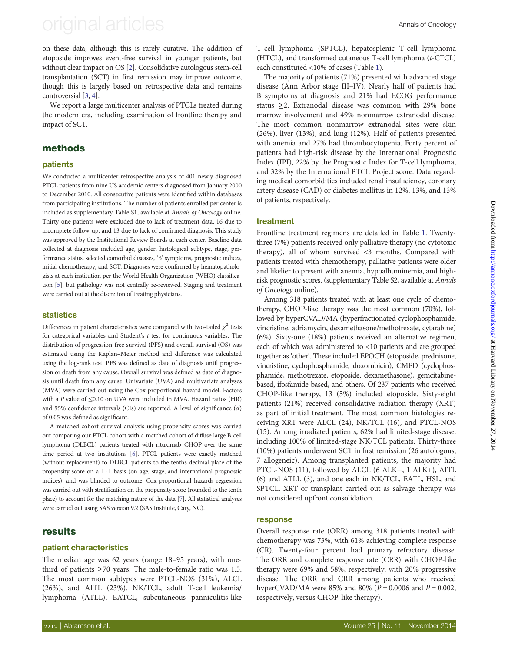on these data, although this is rarely curative. The addition of etoposide improves event-free survival in younger patients, but without clear impact on OS [\[2](#page-6-0)]. Consolidative autologous stem-cell transplantation (SCT) in first remission may improve outcome, though this is largely based on retrospective data and remains controversial [\[3](#page-6-0), [4\]](#page-6-0).

We report a large multicenter analysis of PTCLs treated during the modern era, including examination of frontline therapy and impact of SCT.

# methods

#### patients

We conducted a multicenter retrospective analysis of 401 newly diagnosed PTCL patients from nine US academic centers diagnosed from January 2000 to December 2010. All consecutive patients were identified within databases from participating institutions. The number of patients enrolled per center is included as [supplementary Table S1, available at](http://annonc.oxfordjournals.org/lookup/suppl/doi:10.1093/annonc/mdu443/-/DC1) Annals of Oncology online. Thirty-one patients were excluded due to lack of treatment data, 16 due to incomplete follow-up, and 13 due to lack of confirmed diagnosis. This study was approved by the Institutional Review Boards at each center. Baseline data collected at diagnosis included age, gender, histological subtype, stage, performance status, selected comorbid diseases, 'B' symptoms, prognostic indices, initial chemotherapy, and SCT. Diagnoses were confirmed by hematopathologists at each institution per the World Health Organization (WHO) classification [\[5\]](#page-6-0), but pathology was not centrally re-reviewed. Staging and treatment were carried out at the discretion of treating physicians.

#### statistics

Differences in patient characteristics were compared with two-tailed  $\chi^2$  tests for categorical variables and Student's t-test for continuous variables. The distribution of progression-free survival (PFS) and overall survival (OS) was estimated using the Kaplan–Meier method and difference was calculated using the log-rank test. PFS was defined as date of diagnosis until progression or death from any cause. Overall survival was defined as date of diagnosis until death from any cause. Univariate (UVA) and multivariate analyses (MVA) were carried out using the Cox proportional hazard model. Factors with a P value of  $\leq$ 0.10 on UVA were included in MVA. Hazard ratios (HR) and 95% confidence intervals (CIs) are reported. A level of significance  $(\alpha)$ of 0.05 was defined as significant.

A matched cohort survival analysis using propensity scores was carried out comparing our PTCL cohort with a matched cohort of diffuse large B-cell lymphoma (DLBCL) patients treated with rituximab–CHOP over the same time period at two institutions [\[6](#page-6-0)]. PTCL patients were exactly matched (without replacement) to DLBCL patients to the tenths decimal place of the propensity score on a 1 : 1 basis (on age, stage, and international prognostic indices), and was blinded to outcome. Cox proportional hazards regression was carried out with stratification on the propensity score (rounded to the tenth place) to account for the matching nature of the data [[7](#page-6-0)]. All statistical analyses were carried out using SAS version 9.2 (SAS Institute, Cary, NC).

## results

#### patient characteristics

The median age was 62 years (range 18–95 years), with onethird of patients  $\geq 70$  years. The male-to-female ratio was 1.5. The most common subtypes were PTCL-NOS (31%), ALCL (26%), and AITL (23%). NK/TCL, adult T-cell leukemia/ lymphoma (ATLL), EATCL, subcutaneous panniculitis-like T-cell lymphoma (SPTCL), hepatosplenic T-cell lymphoma (HTCL), and transformed cutaneous T-cell lymphoma (t-CTCL) each constituted <10% of cases (Table [1](#page-2-0)).

The majority of patients (71%) presented with advanced stage disease (Ann Arbor stage III–IV). Nearly half of patients had B symptoms at diagnosis and 21% had ECOG performance status ≥2. Extranodal disease was common with 29% bone marrow involvement and 49% nonmarrow extranodal disease. The most common nonmarrow extranodal sites were skin (26%), liver (13%), and lung (12%). Half of patients presented with anemia and 27% had thrombocytopenia. Forty percent of patients had high-risk disease by the International Prognostic Index (IPI), 22% by the Prognostic Index for T-cell lymphoma, and 32% by the International PTCL Project score. Data regarding medical comorbidities included renal insufficiency, coronary artery disease (CAD) or diabetes mellitus in 12%, 13%, and 13% of patients, respectively.

#### treatment

Frontline treatment regimens are detailed in Table [1](#page-2-0). Twentythree (7%) patients received only palliative therapy (no cytotoxic therapy), all of whom survived <3 months. Compared with patients treated with chemotherapy, palliative patients were older and likelier to present with anemia, hypoalbuminemia, and highrisk prognostic scores. [\(supplementary Table S2, available at](http://annonc.oxfordjournals.org/lookup/suppl/doi:10.1093/annonc/mdu443/-/DC1) Annals [of Oncology](http://annonc.oxfordjournals.org/lookup/suppl/doi:10.1093/annonc/mdu443/-/DC1) online).

Among 318 patients treated with at least one cycle of chemotherapy, CHOP-like therapy was the most common (70%), followed by hyperCVAD/MA (hyperfractionated cyclophosphamide, vincristine, adriamycin, dexamethasone/methotrexate, cytarabine) (6%). Sixty-one (18%) patients received an alternative regimen, each of which was administered to <10 patients and are grouped together as 'other'. These included EPOCH (etoposide, prednisone, vincristine, cyclophosphamide, doxorubicin), CMED (cyclophosphamide, methotrexate, etoposide, dexamethasone), gemcitabinebased, ifosfamide-based, and others. Of 237 patients who received CHOP-like therapy, 13 (5%) included etoposide. Sixty-eight patients (21%) received consolidative radiation therapy (XRT) as part of initial treatment. The most common histologies receiving XRT were ALCL (24), NK/TCL (16), and PTCL-NOS (15). Among irradiated patients, 62% had limited-stage disease, including 100% of limited-stage NK/TCL patients. Thirty-three (10%) patients underwent SCT in first remission (26 autologous, 7 allogeneic). Among transplanted patients, the majority had PTCL-NOS (11), followed by ALCL (6 ALK−, 1 ALK+), AITL (6) and ATLL (3), and one each in NK/TCL, EATL, HSL, and SPTCL. XRT or transplant carried out as salvage therapy was not considered upfront consolidation.

#### response

Overall response rate (ORR) among 318 patients treated with chemotherapy was 73%, with 61% achieving complete response (CR). Twenty-four percent had primary refractory disease. The ORR and complete response rate (CRR) with CHOP-like therapy were 69% and 58%, respectively, with 20% progressive disease. The ORR and CRR among patients who received hyperCVAD/MA were 85% and 80% ( $P = 0.0006$  and  $P = 0.002$ , respectively, versus CHOP-like therapy).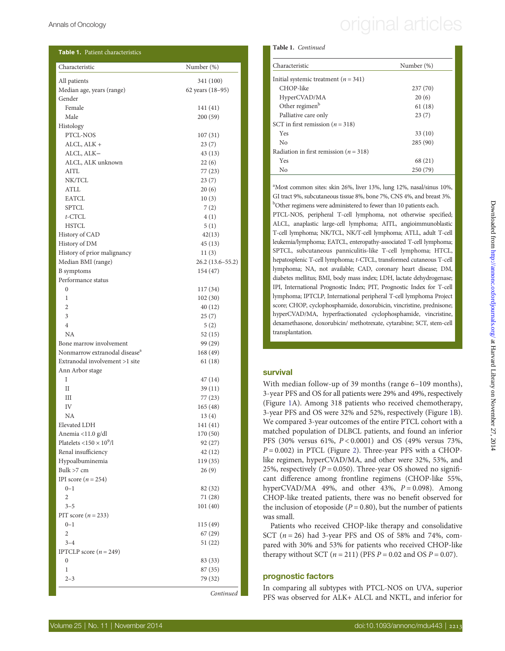# Table 1. Patient characteristics

| Characteristic                            | Number (%)           |  |  |  |  |
|-------------------------------------------|----------------------|--|--|--|--|
| All patients                              | 341 (100)            |  |  |  |  |
| Median age, years (range)                 | 62 years (18–95)     |  |  |  |  |
| Gender                                    |                      |  |  |  |  |
| Female                                    | 141 (41)             |  |  |  |  |
| Male                                      | 200 (59)             |  |  |  |  |
| Histology                                 |                      |  |  |  |  |
| PTCL-NOS                                  | 107(31)              |  |  |  |  |
| ALCL, ALK +                               | 23(7)                |  |  |  |  |
| ALCL, ALK-                                | 43 (13)              |  |  |  |  |
| ALCL, ALK unknown                         | 22(6)                |  |  |  |  |
| AITL                                      | 77 (23)              |  |  |  |  |
| NK/TCL                                    | 23(7)                |  |  |  |  |
| ATLL                                      | 20(6)                |  |  |  |  |
| <b>EATCL</b>                              | 10(3)                |  |  |  |  |
| <b>SPTCL</b>                              | 7(2)                 |  |  |  |  |
| $t$ -CTCL                                 | 4(1)                 |  |  |  |  |
| <b>HSTCL</b>                              | 5(1)<br>42(13)       |  |  |  |  |
| History of CAD<br>History of DM           | 45 (13)              |  |  |  |  |
| History of prior malignancy               | 11(3)                |  |  |  |  |
| Median BMI (range)                        | $26.2(13.6 - 55.2)$  |  |  |  |  |
| <b>B</b> symptoms                         | 154 (47)             |  |  |  |  |
| Performance status                        |                      |  |  |  |  |
| 0                                         | 117 (34)             |  |  |  |  |
| $\mathbf{1}$                              | 102(30)              |  |  |  |  |
| $\overline{c}$                            | 40 (12)              |  |  |  |  |
| 3                                         | 25(7)                |  |  |  |  |
| $\overline{4}$                            | 5(2)                 |  |  |  |  |
| <b>NA</b>                                 | 52 (15)              |  |  |  |  |
| Bone marrow involvement                   | 99 (29)              |  |  |  |  |
| Nonmarrow extranodal disease <sup>a</sup> | 168 (49)             |  |  |  |  |
| Extranodal involvement >1 site            | 61 (18)              |  |  |  |  |
| Ann Arbor stage                           |                      |  |  |  |  |
| Ι                                         | 47 (14)              |  |  |  |  |
| $_{\rm II}$                               | 39 (11)              |  |  |  |  |
| Ш                                         | 77 (23)              |  |  |  |  |
| IV<br>NA                                  | 165 (48)             |  |  |  |  |
| Elevated LDH                              | 13(4)                |  |  |  |  |
| Anemia <11.0 g/dl                         | 141 (41)<br>170 (50) |  |  |  |  |
| Platelets ${<}150\times10^9/\text{l}$     | 92 (27)              |  |  |  |  |
| Renal insufficiency                       | 42(12)               |  |  |  |  |
| Hypoalbuminemia                           | 119 (35)             |  |  |  |  |
| Bulk >7 cm                                | 26(9)                |  |  |  |  |
| IPI score $(n = 254)$                     |                      |  |  |  |  |
| $0 - 1$                                   | 82 (32)              |  |  |  |  |
| 2                                         | 71 (28)              |  |  |  |  |
| $3 - 5$                                   | 101 (40)             |  |  |  |  |
| PIT score $(n = 233)$                     |                      |  |  |  |  |
| $0 - 1$                                   | 115 (49)             |  |  |  |  |
| $\mathbf{2}$                              | 67(29)               |  |  |  |  |
| $3 - 4$                                   | 51 (22)              |  |  |  |  |
| IPTCLP score $(n = 249)$                  |                      |  |  |  |  |
| 0                                         | 83 (33)              |  |  |  |  |
| 1                                         | 87 (35)              |  |  |  |  |
| $2 - 3$                                   | 79 (32)              |  |  |  |  |
|                                           | Continued            |  |  |  |  |

<span id="page-2-0"></span>Annals of Oncology **Annals of Oncology** original articles

| Characteristic                             | Number (%) |
|--------------------------------------------|------------|
| Initial systemic treatment $(n = 341)$     |            |
| CHOP-like                                  | 237 (70)   |
| HyperCVAD/MA                               | 20(6)      |
| Other regimen <sup>b</sup>                 | 61 (18)    |
| Palliative care only                       | 23(7)      |
| SCT in first remission ( $n = 318$ )       |            |
| Yes                                        | 33(10)     |
| No                                         | 285 (90)   |
| Radiation in first remission ( $n = 318$ ) |            |
| Yes                                        | 68 (21)    |
| No                                         | 250 (79)   |

Table 1. Continued

a Most common sites: skin 26%, liver 13%, lung 12%, nasal/sinus 10%, GI tract 9%, subcutaneous tissue 8%, bone 7%, CNS 4%, and breast 3%. <sup>b</sup>Other regimens were administered to fewer than 10 patients each.

PTCL-NOS, peripheral T-cell lymphoma, not otherwise specified; ALCL, anaplastic large-cell lymphoma; AITL, angioimmunoblastic T-cell lymphoma; NK/TCL, NK/T-cell lymphoma; ATLL, adult T-cell leukemia/lymphoma; EATCL, enteropathy-associated T-cell lymphoma; SPTCL, subcutaneous panniculitis-like T-cell lymphoma; HTCL, hepatosplenic T-cell lymphoma; t-CTCL, transformed cutaneous T-cell lymphoma; NA, not available; CAD, coronary heart disease; DM, diabetes mellitus; BMI, body mass index; LDH, lactate dehydrogenase; IPI, International Prognostic Index; PIT, Prognostic Index for T-cell lymphoma; IPTCLP, International peripheral T-cell lymphoma Project score; CHOP, cyclophosphamide, doxorubicin, vincristine, prednisone; hyperCVAD/MA, hyperfractionated cyclophosphamide, vincristine, dexamethasone, doxorubicin/ methotrexate, cytarabine; SCT, stem-cell transplantation.

#### survival

With median follow-up of 39 months (range 6–109 months), 3-year PFS and OS for all patients were 29% and 49%, respectively (Figure [1](#page-3-0)A). Among 318 patients who received chemotherapy, 3-year PFS and OS were 32% and 52%, respectively (Figure [1](#page-3-0)B). We compared 3-year outcomes of the entire PTCL cohort with a matched population of DLBCL patients, and found an inferior PFS (30% versus 61%, P < 0.0001) and OS (49% versus 73%,  $P = 0.002$  $P = 0.002$ ) in PTCL (Figure 2). Three-year PFS with a CHOPlike regimen, hyperCVAD/MA, and other were 32%, 53%, and 25%, respectively ( $P = 0.050$ ). Three-year OS showed no significant difference among frontline regimens (CHOP-like 55%, hyperCVAD/MA 49%, and other 43%,  $P = 0.098$ ). Among CHOP-like treated patients, there was no benefit observed for the inclusion of etoposide ( $P = 0.80$ ), but the number of patients was small.

Patients who received CHOP-like therapy and consolidative SCT  $(n = 26)$  had 3-year PFS and OS of 58% and 74%, compared with 30% and 53% for patients who received CHOP-like therapy without SCT ( $n = 211$ ) (PFS  $P = 0.02$  and OS  $P = 0.07$ ).

#### prognostic factors

In comparing all subtypes with PTCL-NOS on UVA, superior PFS was observed for ALK+ ALCL and NKTL, and inferior for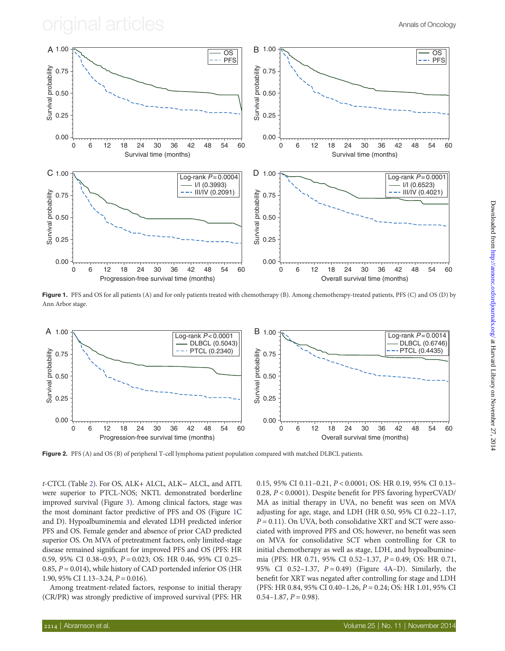<span id="page-3-0"></span>



Figure 1. PFS and OS for all patients (A) and for only patients treated with chemotherapy (B). Among chemotherapy-treated patients, PFS (C) and OS (D) by Ann Arbor stage.



Figure 2. PFS (A) and OS (B) of peripheral T-cell lymphoma patient population compared with matched DLBCL patients.

t-CTCL (Table [2\)](#page-4-0). For OS, ALK+ ALCL, ALK− ALCL, and AITL were superior to PTCL-NOS; NKTL demonstrated borderline improved survival (Figure [3](#page-5-0)). Among clinical factors, stage was the most dominant factor predictive of PFS and OS (Figure 1C and D). Hypoalbuminemia and elevated LDH predicted inferior PFS and OS. Female gender and absence of prior CAD predicted superior OS. On MVA of pretreatment factors, only limited-stage disease remained significant for improved PFS and OS (PFS: HR 0.59, 95% CI 0.38–0.93, P = 0.023; OS: HR 0.46, 95% CI 0.25– 0.85,  $P = 0.014$ ), while history of CAD portended inferior OS (HR 1.90, 95% CI 1.13-3.24,  $P = 0.016$ .

Among treatment-related factors, response to initial therapy (CR/PR) was strongly predictive of improved survival (PFS: HR 0.15, 95% CI 0.11–0.21, P < 0.0001; OS: HR 0.19, 95% CI 0.13– 0.28, P < 0.0001). Despite benefit for PFS favoring hyperCVAD/ MA as initial therapy in UVA, no benefit was seen on MVA adjusting for age, stage, and LDH (HR 0.50, 95% CI 0.22–1.17,  $P = 0.11$ ). On UVA, both consolidative XRT and SCT were associated with improved PFS and OS; however, no benefit was seen on MVA for consolidative SCT when controlling for CR to initial chemotherapy as well as stage, LDH, and hypoalbuminemia (PFS: HR 0.71, 95% CI 0.52–1.37, P = 0.49; OS: HR 0.71, 95% CI 0.52–1.37, P = 0.49) (Figure [4](#page-5-0)A–D). Similarly, the benefit for XRT was negated after controlling for stage and LDH (PFS: HR 0.84, 95% CI 0.40–1.26, P = 0.24; OS: HR 1.01, 95% CI  $0.54-1.87, P = 0.98$ ).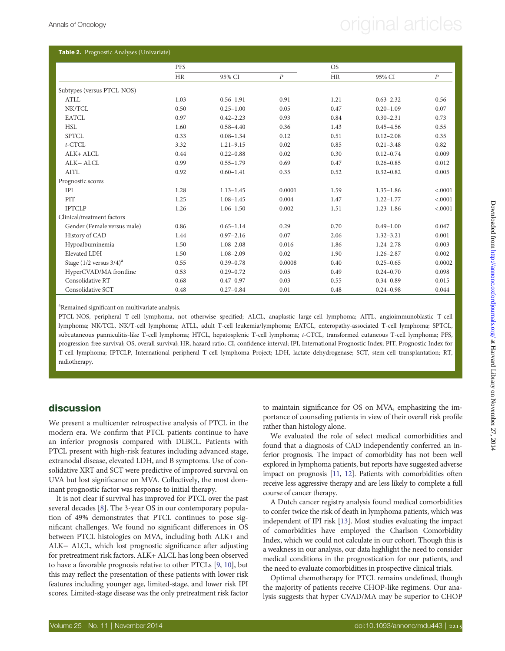# <span id="page-4-0"></span>Annals of Oncology **Annals of Oncology original articles**

| <b>Table 2.</b> Prognostic Analyses (Univariate) |            |               |                  |           |               |                  |  |  |  |
|--------------------------------------------------|------------|---------------|------------------|-----------|---------------|------------------|--|--|--|
|                                                  | <b>PFS</b> |               |                  | <b>OS</b> |               |                  |  |  |  |
|                                                  | <b>HR</b>  | 95% CI        | $\boldsymbol{P}$ | <b>HR</b> | 95% CI        | $\boldsymbol{P}$ |  |  |  |
| Subtypes (versus PTCL-NOS)                       |            |               |                  |           |               |                  |  |  |  |
| <b>ATLL</b>                                      | 1.03       | $0.56 - 1.91$ | 0.91             | 1.21      | $0.63 - 2.32$ | 0.56             |  |  |  |
| NK/TCL                                           | 0.50       | $0.25 - 1.00$ | 0.05             | 0.47      | $0.20 - 1.09$ | 0.07             |  |  |  |
| <b>EATCL</b>                                     | 0.97       | $0.42 - 2.23$ | 0.93             | 0.84      | $0.30 - 2.31$ | 0.73             |  |  |  |
| <b>HSL</b>                                       | 1.60       | $0.58 - 4.40$ | 0.36             | 1.43      | $0.45 - 4.56$ | 0.55             |  |  |  |
| <b>SPTCL</b>                                     | 0.33       | $0.08 - 1.34$ | 0.12             | 0.51      | $0.12 - 2.08$ | 0.35             |  |  |  |
| $t$ -CTCL                                        | 3.32       | $1.21 - 9.15$ | 0.02             | 0.85      | $0.21 - 3.48$ | 0.82             |  |  |  |
| ALK+ ALCL                                        | 0.44       | $0.22 - 0.88$ | 0.02             | 0.30      | $0.12 - 0.74$ | 0.009            |  |  |  |
| ALK-ALCL                                         | 0.99       | $0.55 - 1.79$ | 0.69             | 0.47      | $0.26 - 0.85$ | 0.012            |  |  |  |
| <b>AITL</b>                                      | 0.92       | $0.60 - 1.41$ | 0.35             | 0.52      | $0.32 - 0.82$ | 0.005            |  |  |  |
| Prognostic scores                                |            |               |                  |           |               |                  |  |  |  |
| <b>IPI</b>                                       | 1.28       | $1.13 - 1.45$ | 0.0001           | 1.59      | $1.35 - 1.86$ | < .0001          |  |  |  |
| <b>PIT</b>                                       | 1.25       | $1.08 - 1.45$ | 0.004            | 1.47      | $1.22 - 1.77$ | < .0001          |  |  |  |
| <b>IPTCLP</b>                                    | 1.26       | $1.06 - 1.50$ | 0.002            | 1.51      | $1.23 - 1.86$ | < .0001          |  |  |  |
| Clinical/treatment factors                       |            |               |                  |           |               |                  |  |  |  |
| Gender (Female versus male)                      | 0.86       | $0.65 - 1.14$ | 0.29             | 0.70      | $0.49 - 1.00$ | 0.047            |  |  |  |
| History of CAD                                   | 1.44       | $0.97 - 2.16$ | 0.07             | 2.06      | $1.32 - 3.21$ | 0.001            |  |  |  |
| Hypoalbuminemia                                  | 1.50       | $1.08 - 2.08$ | 0.016            | 1.86      | $1.24 - 2.78$ | 0.003            |  |  |  |
| Elevated LDH                                     | 1.50       | $1.08 - 2.09$ | 0.02             | 1.90      | $1.26 - 2.87$ | 0.002            |  |  |  |
| Stage $(1/2$ versus $3/4)^a$                     | 0.55       | $0.39 - 0.78$ | 0.0008           | 0.40      | $0.25 - 0.65$ | 0.0002           |  |  |  |
| HyperCVAD/MA frontline                           | 0.53       | $0.29 - 0.72$ | 0.05             | 0.49      | $0.24 - 0.70$ | 0.098            |  |  |  |
| Consolidative RT                                 | 0.68       | $0.47 - 0.97$ | 0.03             | 0.55      | $0.34 - 0.89$ | 0.015            |  |  |  |
| Consolidative SCT                                | 0.48       | $0.27 - 0.84$ | 0.01             | 0.48      | $0.24 - 0.98$ | 0.044            |  |  |  |

a Remained significant on multivariate analysis.

PTCL-NOS, peripheral T-cell lymphoma, not otherwise specified; ALCL, anaplastic large-cell lymphoma; AITL, angioimmunoblastic T-cell lymphoma; NK/TCL, NK/T-cell lymphoma; ATLL, adult T-cell leukemia/lymphoma; EATCL, enteropathy-associated T-cell lymphoma; SPTCL, subcutaneous panniculitis-like T-cell lymphoma; HTCL, hepatosplenic T-cell lymphoma; t-CTCL, transformed cutaneous T-cell lymphoma; PFS, progression-free survival; OS, overall survival; HR, hazard ratio; CI, confidence interval; IPI, International Prognostic Index; PIT, Prognostic Index for T-cell lymphoma; IPTCLP, International peripheral T-cell lymphoma Project; LDH, lactate dehydrogenase; SCT, stem-cell transplantation; RT, radiotherapy.

# discussion

We present a multicenter retrospective analysis of PTCL in the modern era. We confirm that PTCL patients continue to have an inferior prognosis compared with DLBCL. Patients with PTCL present with high-risk features including advanced stage, extranodal disease, elevated LDH, and B symptoms. Use of consolidative XRT and SCT were predictive of improved survival on UVA but lost significance on MVA. Collectively, the most dominant prognostic factor was response to initial therapy.

It is not clear if survival has improved for PTCL over the past several decades [[8](#page-6-0)]. The 3-year OS in our contemporary population of 49% demonstrates that PTCL continues to pose significant challenges. We found no significant differences in OS between PTCL histologies on MVA, including both ALK+ and ALK− ALCL, which lost prognostic significance after adjusting for pretreatment risk factors. ALK+ ALCL has long been observed to have a favorable prognosis relative to other PTCLs [[9](#page-6-0), [10\]](#page-6-0), but this may reflect the presentation of these patients with lower risk features including younger age, limited-stage, and lower risk IPI scores. Limited-stage disease was the only pretreatment risk factor to maintain significance for OS on MVA, emphasizing the importance of counseling patients in view of their overall risk profile rather than histology alone.

We evaluated the role of select medical comorbidities and found that a diagnosis of CAD independently conferred an inferior prognosis. The impact of comorbidity has not been well explored in lymphoma patients, but reports have suggested adverse impact on prognosis [\[11](#page-6-0), [12\]](#page-6-0). Patients with comorbidities often receive less aggressive therapy and are less likely to complete a full course of cancer therapy.

A Dutch cancer registry analysis found medical comorbidities to confer twice the risk of death in lymphoma patients, which was independent of IPI risk [\[13\]](#page-6-0). Most studies evaluating the impact of comorbidities have employed the Charlson Comorbidity Index, which we could not calculate in our cohort. Though this is a weakness in our analysis, our data highlight the need to consider medical conditions in the prognostication for our patients, and the need to evaluate comorbidities in prospective clinical trials.

Optimal chemotherapy for PTCL remains undefined, though the majority of patients receive CHOP-like regimens. Our analysis suggests that hyper CVAD/MA may be superior to CHOP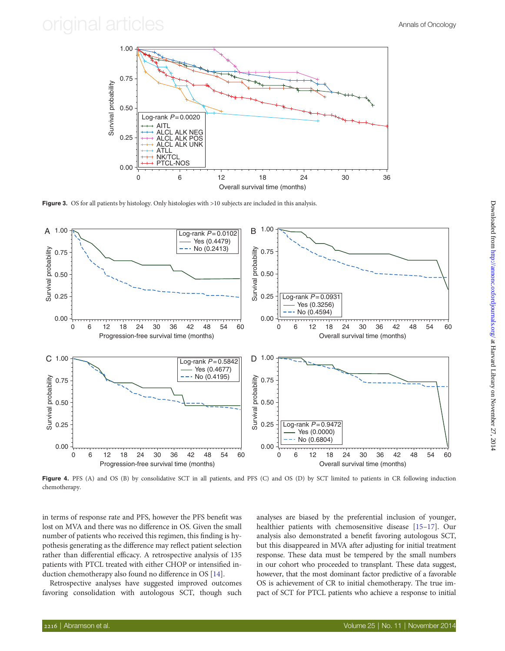<span id="page-5-0"></span>

Figure 3. OS for all patients by histology. Only histologies with >10 subjects are included in this analysis.



Figure 4. PFS (A) and OS (B) by consolidative SCT in all patients, and PFS (C) and OS (D) by SCT limited to patients in CR following induction chemotherapy.

in terms of response rate and PFS, however the PFS benefit was lost on MVA and there was no difference in OS. Given the small number of patients who received this regimen, this finding is hypothesis generating as the difference may reflect patient selection rather than differential efficacy. A retrospective analysis of 135 patients with PTCL treated with either CHOP or intensified induction chemotherapy also found no difference in OS [\[14](#page-6-0)].

Retrospective analyses have suggested improved outcomes favoring consolidation with autologous SCT, though such analyses are biased by the preferential inclusion of younger, healthier patients with chemosensitive disease [\[15](#page-6-0)–[17](#page-6-0)]. Our analysis also demonstrated a benefit favoring autologous SCT, but this disappeared in MVA after adjusting for initial treatment response. These data must be tempered by the small numbers in our cohort who proceeded to transplant. These data suggest, however, that the most dominant factor predictive of a favorable OS is achievement of CR to initial chemotherapy. The true impact of SCT for PTCL patients who achieve a response to initial